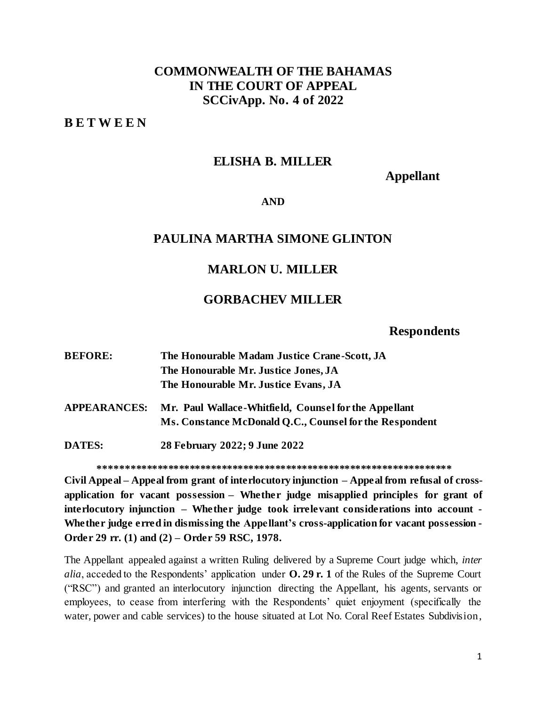# **COMMONWEALTH OF THE BAHAMAS IN THE COURT OF APPEAL SCCivApp. No. 4 of 2022**

#### **B E T W E E N**

## **ELISHA B. MILLER**

#### **Appellant**

#### **AND**

#### **PAULINA MARTHA SIMONE GLINTON**

#### **MARLON U. MILLER**

#### **GORBACHEV MILLER**

# **Respondents**

| <b>BEFORE:</b>      | The Honourable Madam Justice Crane-Scott, JA                                                                     |
|---------------------|------------------------------------------------------------------------------------------------------------------|
|                     | The Honourable Mr. Justice Jones, JA                                                                             |
|                     | The Honourable Mr. Justice Evans, JA                                                                             |
| <b>APPEARANCES:</b> | Mr. Paul Wallace-Whitfield, Counsel for the Appellant<br>Ms. Constance McDonald Q.C., Counsel for the Respondent |
| DATES:              | 28 February 2022; 9 June 2022                                                                                    |

**\*\*\*\*\*\*\*\*\*\*\*\*\*\*\*\*\*\*\*\*\*\*\*\*\*\*\*\*\*\*\*\*\*\*\*\*\*\*\*\*\*\*\*\*\*\*\*\*\*\*\*\*\*\*\*\*\*\*\*\*\*\*\*\*\*\***

**Civil Appeal – Appeal from grant of interlocutory injunction – Appeal from refusal of crossapplication for vacant possession – Whether judge misapplied principles for grant of interlocutory injunction – Whether judge took irrelevant considerations into account - Whether judge erred in dismissing the Appellant's cross-application for vacant possession - Order 29 rr. (1) and (2) – Order 59 RSC, 1978.** 

The Appellant appealed against a written Ruling delivered by a Supreme Court judge which, *inter alia*, acceded to the Respondents' application under **O. 29 r. 1** of the Rules of the Supreme Court ("RSC") and granted an interlocutory injunction directing the Appellant, his agents, servants or employees, to cease from interfering with the Respondents' quiet enjoyment (specifically the water, power and cable services) to the house situated at Lot No. Coral Reef Estates Subdivision,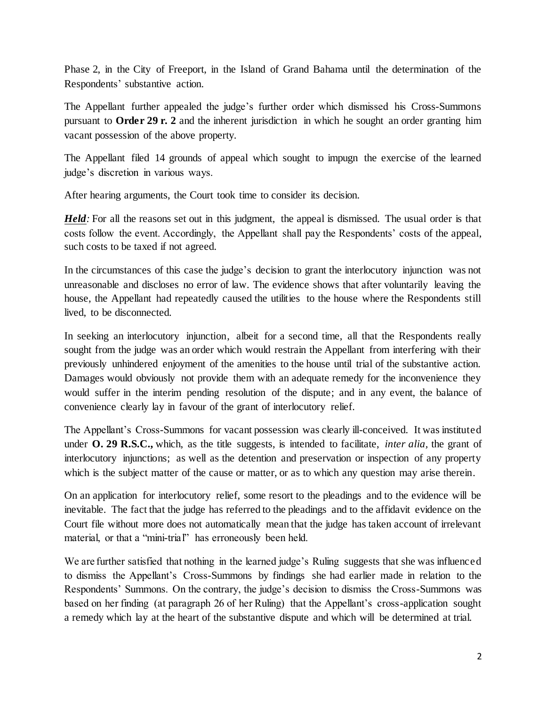Phase 2, in the City of Freeport, in the Island of Grand Bahama until the determination of the Respondents' substantive action.

The Appellant further appealed the judge's further order which dismissed his Cross-Summons pursuant to **Order 29 r. 2** and the inherent jurisdiction in which he sought an order granting him vacant possession of the above property.

The Appellant filed 14 grounds of appeal which sought to impugn the exercise of the learned judge's discretion in various ways.

After hearing arguments, the Court took time to consider its decision.

*Held*: For all the reasons set out in this judgment, the appeal is dismissed. The usual order is that costs follow the event. Accordingly, the Appellant shall pay the Respondents' costs of the appeal, such costs to be taxed if not agreed.

In the circumstances of this case the judge's decision to grant the interlocutory injunction was not unreasonable and discloses no error of law. The evidence shows that after voluntarily leaving the house, the Appellant had repeatedly caused the utilities to the house where the Respondents still lived, to be disconnected.

In seeking an interlocutory injunction, albeit for a second time, all that the Respondents really sought from the judge was an order which would restrain the Appellant from interfering with their previously unhindered enjoyment of the amenities to the house until trial of the substantive action. Damages would obviously not provide them with an adequate remedy for the inconvenience they would suffer in the interim pending resolution of the dispute; and in any event, the balance of convenience clearly lay in favour of the grant of interlocutory relief.

The Appellant's Cross-Summons for vacant possession was clearly ill-conceived. It was instituted under **O. 29 R.S.C.**, which, as the title suggests, is intended to facilitate, *inter alia*, the grant of interlocutory injunctions; as well as the detention and preservation or inspection of any property which is the subject matter of the cause or matter, or as to which any question may arise therein.

On an application for interlocutory relief, some resort to the pleadings and to the evidence will be inevitable. The fact that the judge has referred to the pleadings and to the affidavit evidence on the Court file without more does not automatically mean that the judge has taken account of irrelevant material, or that a "mini-trial" has erroneously been held.

We are further satisfied that nothing in the learned judge's Ruling suggests that she was influenced to dismiss the Appellant's Cross-Summons by findings she had earlier made in relation to the Respondents' Summons. On the contrary, the judge's decision to dismiss the Cross-Summons was based on her finding (at paragraph 26 of her Ruling) that the Appellant's cross-application sought a remedy which lay at the heart of the substantive dispute and which will be determined at trial.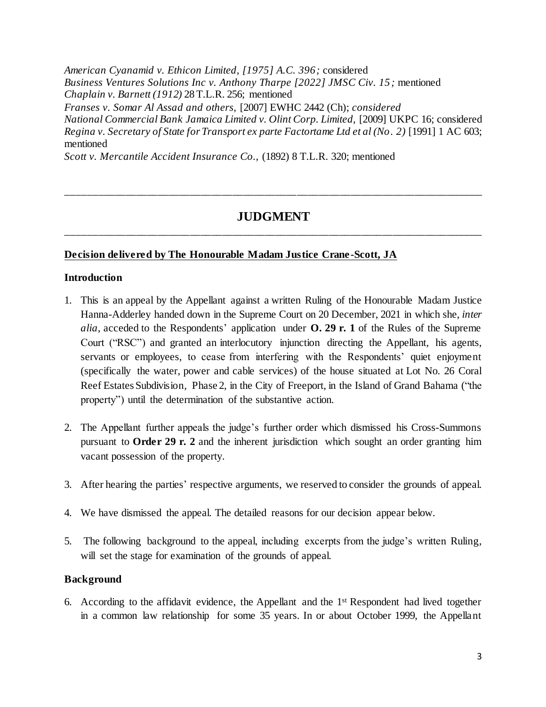*American Cyanamid v. Ethicon Limited, [1975] A.C. 396;* considered *Business Ventures Solutions Inc v. Anthony Tharpe [2022] JMSC Civ. 15;* mentioned *Chaplain v. Barnett (1912)* 28 T.L.R. 256; mentioned *Franses v. Somar Al Assad and others,* [2007] EWHC 2442 (Ch); *considered National Commercial Bank Jamaica Limited v. Olint Corp. Limited,* [2009] UKPC 16; considered *Regina v. Secretary of State for Transport ex parte Factortame Ltd et al (No. 2)* [1991] 1 AC 603; mentioned

*Scott v. Mercantile Accident Insurance Co.,* (1892) 8 T.L.R. 320; mentioned

# **JUDGMENT** \_\_\_\_\_\_\_\_\_\_\_\_\_\_\_\_\_\_\_\_\_\_\_\_\_\_\_\_\_\_\_\_\_\_\_\_\_\_\_\_\_\_\_\_\_\_\_\_\_\_\_\_\_\_\_\_\_\_\_\_\_\_\_\_\_\_\_\_\_\_\_\_\_\_\_\_\_\_

\_\_\_\_\_\_\_\_\_\_\_\_\_\_\_\_\_\_\_\_\_\_\_\_\_\_\_\_\_\_\_\_\_\_\_\_\_\_\_\_\_\_\_\_\_\_\_\_\_\_\_\_\_\_\_\_\_\_\_\_\_\_\_\_\_\_\_\_\_\_\_\_\_\_\_\_\_\_

## **Decision delivered by The Honourable Madam Justice Crane-Scott, JA**

#### **Introduction**

- 1. This is an appeal by the Appellant against a written Ruling of the Honourable Madam Justice Hanna-Adderley handed down in the Supreme Court on 20 December, 2021 in which she, *inter alia*, acceded to the Respondents' application under **O. 29 r. 1** of the Rules of the Supreme Court ("RSC") and granted an interlocutory injunction directing the Appellant, his agents, servants or employees, to cease from interfering with the Respondents' quiet enjoyment (specifically the water, power and cable services) of the house situated at Lot No. 26 Coral Reef Estates Subdivision, Phase 2, in the City of Freeport, in the Island of Grand Bahama ("the property") until the determination of the substantive action.
- 2. The Appellant further appeals the judge's further order which dismissed his Cross-Summons pursuant to **Order 29 r. 2** and the inherent jurisdiction which sought an order granting him vacant possession of the property.
- 3. After hearing the parties' respective arguments, we reserved to consider the grounds of appeal.
- 4. We have dismissed the appeal. The detailed reasons for our decision appear below.
- 5. The following background to the appeal, including excerpts from the judge's written Ruling, will set the stage for examination of the grounds of appeal.

### **Background**

6. According to the affidavit evidence, the Appellant and the 1st Respondent had lived together in a common law relationship for some 35 years. In or about October 1999, the Appellant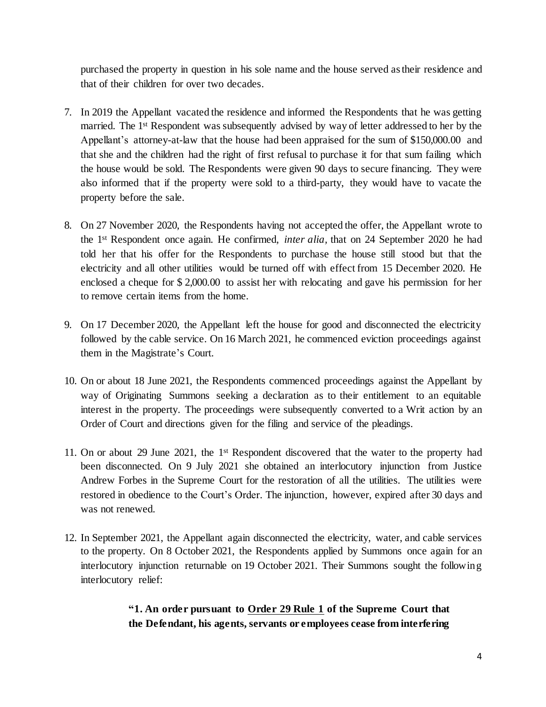purchased the property in question in his sole name and the house served as their residence and that of their children for over two decades.

- 7. In 2019 the Appellant vacated the residence and informed the Respondents that he was getting married. The 1<sup>st</sup> Respondent was subsequently advised by way of letter addressed to her by the Appellant's attorney-at-law that the house had been appraised for the sum of \$150,000.00 and that she and the children had the right of first refusal to purchase it for that sum failing which the house would be sold. The Respondents were given 90 days to secure financing. They were also informed that if the property were sold to a third-party, they would have to vacate the property before the sale.
- 8. On 27 November 2020, the Respondents having not accepted the offer, the Appellant wrote to the 1st Respondent once again. He confirmed*, inter alia,* that on 24 September 2020 he had told her that his offer for the Respondents to purchase the house still stood but that the electricity and all other utilities would be turned off with effect from 15 December 2020. He enclosed a cheque for \$ 2,000.00 to assist her with relocating and gave his permission for her to remove certain items from the home.
- 9. On 17 December 2020, the Appellant left the house for good and disconnected the electricity followed by the cable service. On 16 March 2021, he commenced eviction proceedings against them in the Magistrate's Court.
- 10. On or about 18 June 2021, the Respondents commenced proceedings against the Appellant by way of Originating Summons seeking a declaration as to their entitlement to an equitable interest in the property. The proceedings were subsequently converted to a Writ action by an Order of Court and directions given for the filing and service of the pleadings.
- 11. On or about 29 June 2021, the 1st Respondent discovered that the water to the property had been disconnected. On 9 July 2021 she obtained an interlocutory injunction from Justice Andrew Forbes in the Supreme Court for the restoration of all the utilities. The utilities were restored in obedience to the Court's Order. The injunction, however, expired after 30 days and was not renewed.
- 12. In September 2021, the Appellant again disconnected the electricity, water, and cable services to the property. On 8 October 2021, the Respondents applied by Summons once again for an interlocutory injunction returnable on 19 October 2021. Their Summons sought the following interlocutory relief:

# **"1. An order pursuant to Order 29 Rule 1 of the Supreme Court that the Defendant, his agents, servants or employees cease from interfering**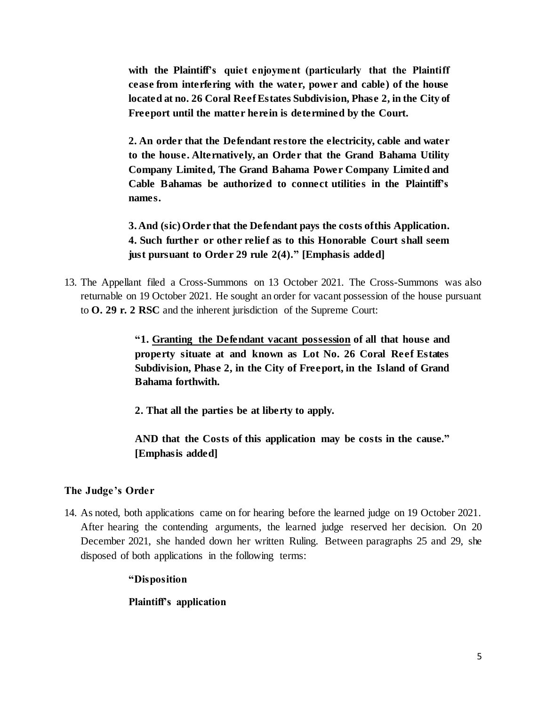**with the Plaintiff's quiet enjoyment (particularly that the Plaintiff cease from interfering with the water, power and cable) of the house located at no. 26 Coral Reef Estates Subdivision, Phase 2, in the City of Freeport until the matter herein is determined by the Court.**

**2. An order that the Defendant restore the electricity, cable and water to the house. Alternatively, an Order that the Grand Bahama Utility Company Limited, The Grand Bahama Power Company Limited and Cable Bahamas be authorized to connect utilities in the Plaintiff's names.**

**3. And (sic) Order that the Defendant pays the costs of this Application. 4. Such further or other relief as to this Honorable Court shall seem just pursuant to Order 29 rule 2(4)." [Emphasis added]**

13. The Appellant filed a Cross-Summons on 13 October 2021. The Cross-Summons was also returnable on 19 October 2021. He sought an order for vacant possession of the house pursuant to **O. 29 r. 2 RSC** and the inherent jurisdiction of the Supreme Court:

> **"1. Granting the Defendant vacant possession of all that house and property situate at and known as Lot No. 26 Coral Reef Estates Subdivision, Phase 2, in the City of Freeport, in the Island of Grand Bahama forthwith.**

**2. That all the parties be at liberty to apply.**

**AND that the Costs of this application may be costs in the cause." [Emphasis added]**

### **The Judge's Order**

14. As noted, both applications came on for hearing before the learned judge on 19 October 2021. After hearing the contending arguments, the learned judge reserved her decision. On 20 December 2021, she handed down her written Ruling. Between paragraphs 25 and 29, she disposed of both applications in the following terms:

### **"Disposition**

**Plaintiff's application**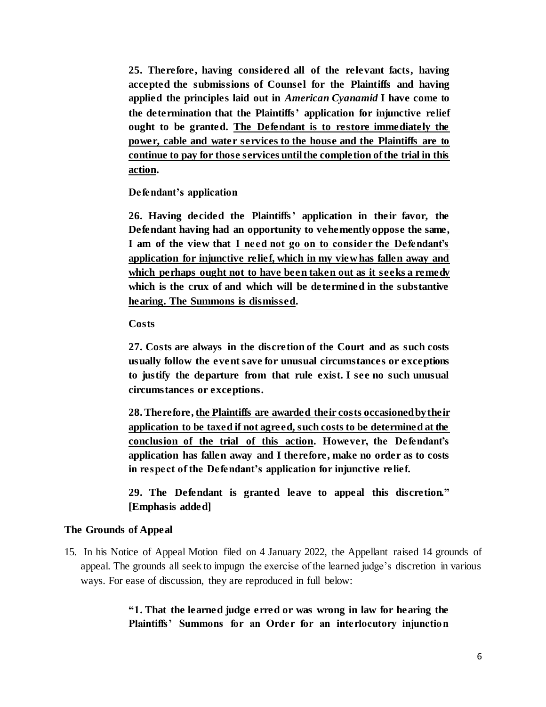**25. Therefore, having considered all of the relevant facts, having accepted the submissions of Counsel for the Plaintiffs and having applied the principles laid out in** *American Cyanamid* **I have come to the determination that the Plaintiffs' application for injunctive relief ought to be granted. The Defendant is to restore immediately the power, cable and water services to the house and the Plaintiffs are to continue to pay for those services until the completion of the trial in this action.**

**Defendant's application**

**26. Having decided the Plaintiffs' application in their favor, the Defendant having had an opportunity to vehemently oppose the same, I am of the view that I need not go on to consider the Defendant's application for injunctive relief, which in my view has fallen away and which perhaps ought not to have been taken out as it seeks a remedy which is the crux of and which will be determined in the substantive hearing. The Summons is dismissed.**

**Costs**

**27. Costs are always in the discretion of the Court and as such costs usually follow the event save for unusual circumstances or exceptions to justify the departure from that rule exist. I see no such unusual circumstances or exceptions.**

**28. Therefore, the Plaintiffs are awarded their costs occasioned by their application to be taxed if not agreed, such costs to be determined at the conclusion of the trial of this action. However, the Defendant's application has fallen away and I therefore, make no order as to costs in respect of the Defendant's application for injunctive relief.**

**29. The Defendant is granted leave to appeal this discretion." [Emphasis added]**

#### **The Grounds of Appeal**

15. In his Notice of Appeal Motion filed on 4 January 2022, the Appellant raised 14 grounds of appeal. The grounds all seek to impugn the exercise of the learned judge's discretion in various ways. For ease of discussion, they are reproduced in full below:

> **"1. That the learned judge erred or was wrong in law for hearing the Plaintiffs' Summons for an Order for an interlocutory injunction**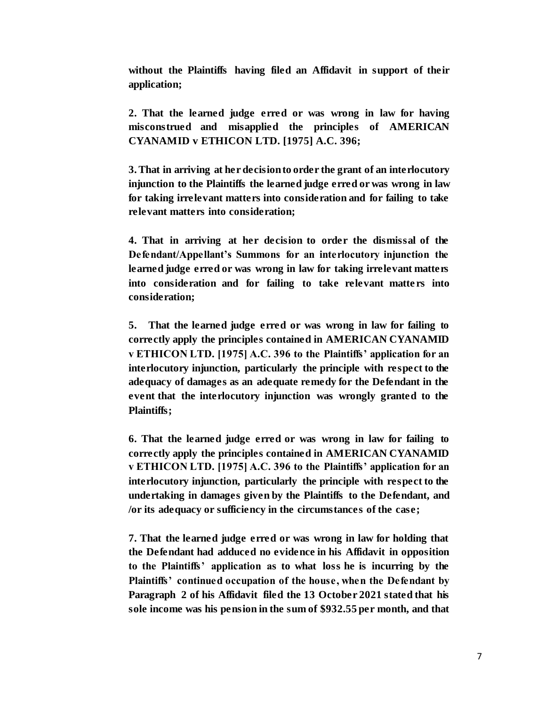**without the Plaintiffs having filed an Affidavit in support of their application;** 

**2. That the learned judge erred or was wrong in law for having misconstrued and misapplied the principles of AMERICAN CYANAMID v ETHICON LTD. [1975] A.C. 396;** 

**3.That in arriving at her decision to order the grant of an interlocutory injunction to the Plaintiffs the learned judge erred or was wrong in law for taking irrelevant matters into consideration and for failing to take relevant matters into consideration;** 

**4. That in arriving at her decision to order the dismissal of the Defendant/Appellant's Summons for an interlocutory injunction the learned judge erred or was wrong in law for taking irrelevant matters into consideration and for failing to take relevant matte rs into consideration;** 

**5. That the learned judge erred or was wrong in law for failing to correctly apply the principles contained in AMERICAN CYANAMID v ETHICON LTD. [1975] A.C. 396 to the Plaintiffs' application for an interlocutory injunction, particularly the principle with respect to the adequacy of damages as an adequate remedy for the Defendant in the event that the interlocutory injunction was wrongly granted to the Plaintiffs;** 

**6. That the learned judge erred or was wrong in law for failing to correctly apply the principles contained in AMERICAN CYANAMID v ETHICON LTD. [1975] A.C. 396 to the Plaintiffs' application for an interlocutory injunction, particularly the principle with respect to the undertaking in damages given by the Plaintiffs to the Defendant, and /or its adequacy or sufficiency in the circumstances of the case;** 

**7. That the learned judge erred or was wrong in law for holding that the Defendant had adduced no evidence in his Affidavit in opposition to the Plaintiffs' application as to what loss he is incurring by the Plaintiffs' continued occupation of the house, when the Defendant by Paragraph 2 of his Affidavit filed the 13 October 2021 stated that his sole income was his pension in the sum of \$932.55 per month, and that**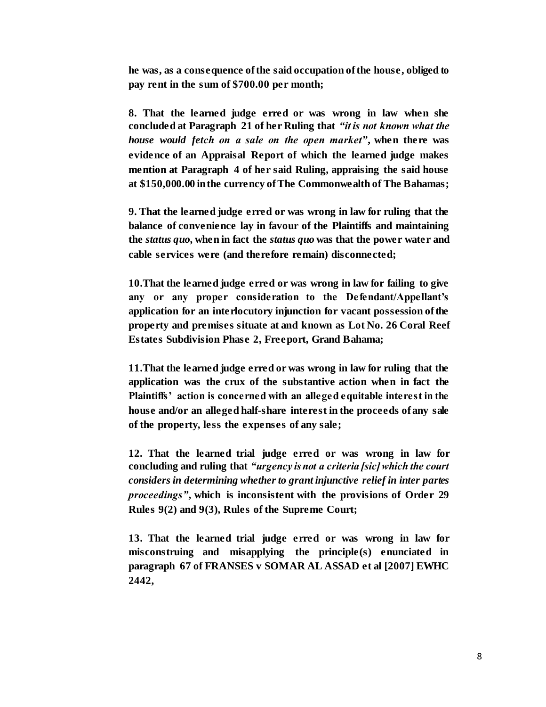**he was, as a consequence of the said occupation of the house, obliged to pay rent in the sum of \$700.00 per month;** 

**8. That the learned judge erred or was wrong in law when she concluded at Paragraph 21 of her Ruling that** *"it is not known what the house would fetch on a sale on the open market"***, when there was evidence of an Appraisal Report of which the learned judge makes mention at Paragraph 4 of her said Ruling, appraising the said house at \$150,000.00 in the currency of The Commonwealth of The Bahamas;**

**9. That the learned judge erred or was wrong in law for ruling that the balance of convenience lay in favour of the Plaintiffs and maintaining the** *status quo***, when in fact the** *status quo* **was that the power water and cable services were (and therefore remain) disconnected;**

**10.That the learned judge erred or was wrong in law for failing to give any or any proper consideration to the Defendant/Appellant's application for an interlocutory injunction for vacant possession of the property and premises situate at and known as Lot No. 26 Coral Reef Estates Subdivision Phase 2, Freeport, Grand Bahama;** 

**11.That the learned judge erred or was wrong in law for ruling that the application was the crux of the substantive action when in fact the Plaintiffs' action is concerned with an alleged equitable interest in the house and/or an alleged half-share interest in the proceeds of any sale of the property, less the expenses of any sale;**

**12. That the learned trial judge erred or was wrong in law for concluding and ruling that** *"urgency is not a criteria [sic] which the court considers in determining whether to grant injunctive relief in inter partes proceedings"***, which is inconsistent with the provisions of Order 29 Rules 9(2) and 9(3), Rules of the Supreme Court;**

**13. That the learned trial judge erred or was wrong in law for misconstruing and misapplying the principle(s) enunciated in paragraph 67 of FRANSES v SOMAR AL ASSAD et al [2007] EWHC 2442,**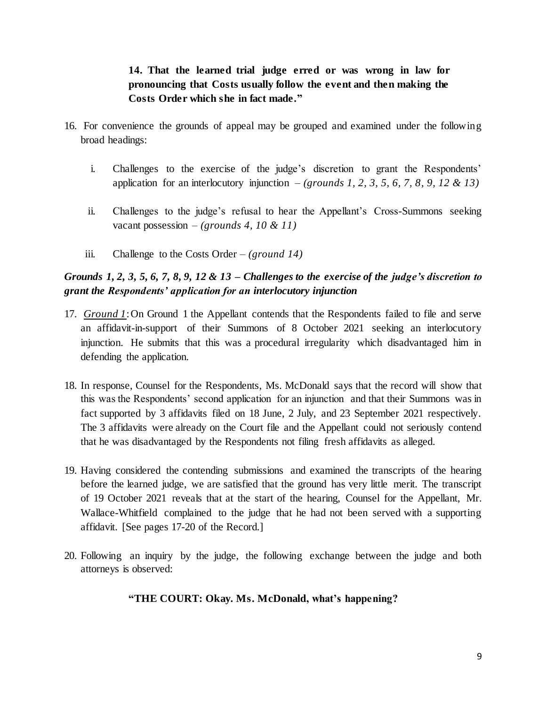**14. That the learned trial judge erred or was wrong in law for pronouncing that Costs usually follow the event and then making the Costs Order which she in fact made."**

- 16. For convenience the grounds of appeal may be grouped and examined under the following broad headings:
	- i. Challenges to the exercise of the judge's discretion to grant the Respondents' application for an interlocutory injunction – *(grounds 1, 2, 3, 5, 6, 7, 8, 9, 12 & 13)*
	- ii. Challenges to the judge's refusal to hear the Appellant's Cross-Summons seeking vacant possession – *(grounds 4, 10 & 11)*
	- iii. Challenge to the Costs Order *(ground 14)*

# *Grounds 1, 2, 3, 5, 6, 7, 8, 9, 12 & 13 – Challenges to the exercise of the judge's discretion to grant the Respondents' application for an interlocutory injunction*

- 17. *Ground 1*: On Ground 1 the Appellant contends that the Respondents failed to file and serve an affidavit-in-support of their Summons of 8 October 2021 seeking an interlocutory injunction. He submits that this was a procedural irregularity which disadvantaged him in defending the application.
- 18. In response, Counsel for the Respondents, Ms. McDonald says that the record will show that this was the Respondents' second application for an injunction and that their Summons was in fact supported by 3 affidavits filed on 18 June, 2 July, and 23 September 2021 respectively. The 3 affidavits were already on the Court file and the Appellant could not seriously contend that he was disadvantaged by the Respondents not filing fresh affidavits as alleged.
- 19. Having considered the contending submissions and examined the transcripts of the hearing before the learned judge, we are satisfied that the ground has very little merit. The transcript of 19 October 2021 reveals that at the start of the hearing, Counsel for the Appellant, Mr. Wallace-Whitfield complained to the judge that he had not been served with a supporting affidavit. [See pages 17-20 of the Record.]
- 20. Following an inquiry by the judge, the following exchange between the judge and both attorneys is observed:

### **"THE COURT: Okay. Ms. McDonald, what's happening?**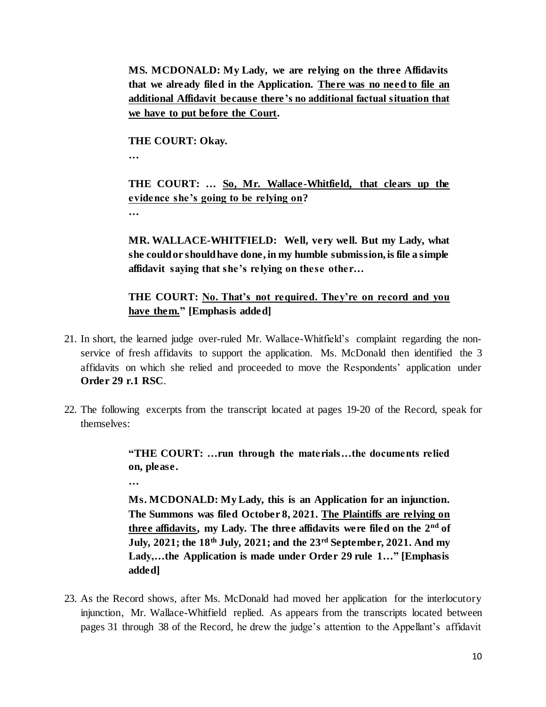**MS. MCDONALD: My Lady, we are relying on the three Affidavits that we already filed in the Application. There was no need to file an additional Affidavit because there's no additional factual situation that we have to put before the Court.**

**THE COURT: Okay. … THE COURT: … So, Mr. Wallace-Whitfield, that clears up the evidence she's going to be relying on? …**

**MR. WALLACE-WHITFIELD: Well, very well. But my Lady, what she could or should have done, in my humble submission, is file a simple affidavit saying that she's relying on these other…**

**THE COURT: No. That's not required. They're on record and you have them." [Emphasis added]**

- 21. In short, the learned judge over-ruled Mr. Wallace-Whitfield's complaint regarding the nonservice of fresh affidavits to support the application. Ms. McDonald then identified the 3 affidavits on which she relied and proceeded to move the Respondents' application under **Order 29 r.1 RSC**.
- 22. The following excerpts from the transcript located at pages 19-20 of the Record, speak for themselves:

**"THE COURT: …run through the materials…the documents relied on, please.**

**…**

**Ms. MCDONALD: My Lady, this is an Application for an injunction. The Summons was filed October 8, 2021. The Plaintiffs are relying on three affidavits, my Lady. The three affidavits were filed on the 2nd of July, 2021; the 18th July, 2021; and the 23rd September, 2021. And my Lady,…the Application is made under Order 29 rule 1…" [Emphasis added]**

23. As the Record shows, after Ms. McDonald had moved her application for the interlocutory injunction, Mr. Wallace-Whitfield replied. As appears from the transcripts located between pages 31 through 38 of the Record, he drew the judge's attention to the Appellant's affidavit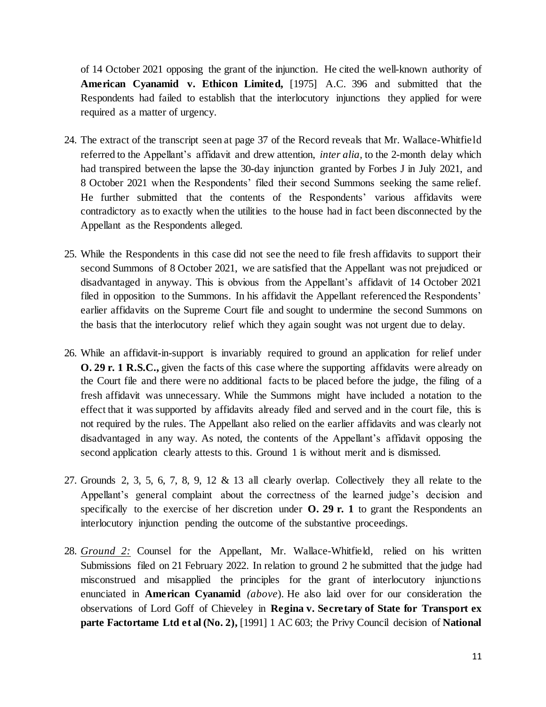of 14 October 2021 opposing the grant of the injunction. He cited the well-known authority of **American Cyanamid v. Ethicon Limited,** [1975] A.C. 396 and submitted that the Respondents had failed to establish that the interlocutory injunctions they applied for were required as a matter of urgency.

- 24. The extract of the transcript seen at page 37 of the Record reveals that Mr. Wallace-Whitfield referred to the Appellant's affidavit and drew attention, *inter alia,* to the 2-month delay which had transpired between the lapse the 30-day injunction granted by Forbes J in July 2021, and 8 October 2021 when the Respondents' filed their second Summons seeking the same relief. He further submitted that the contents of the Respondents' various affidavits were contradictory as to exactly when the utilities to the house had in fact been disconnected by the Appellant as the Respondents alleged.
- 25. While the Respondents in this case did not see the need to file fresh affidavits to support their second Summons of 8 October 2021, we are satisfied that the Appellant was not prejudiced or disadvantaged in anyway. This is obvious from the Appellant's affidavit of 14 October 2021 filed in opposition to the Summons. In his affidavit the Appellant referenced the Respondents' earlier affidavits on the Supreme Court file and sought to undermine the second Summons on the basis that the interlocutory relief which they again sought was not urgent due to delay.
- 26. While an affidavit-in-support is invariably required to ground an application for relief under **O. 29 r. 1 R.S.C.**, given the facts of this case where the supporting affidavits were already on the Court file and there were no additional facts to be placed before the judge, the filing of a fresh affidavit was unnecessary. While the Summons might have included a notation to the effect that it was supported by affidavits already filed and served and in the court file, this is not required by the rules. The Appellant also relied on the earlier affidavits and was clearly not disadvantaged in any way. As noted, the contents of the Appellant's affidavit opposing the second application clearly attests to this. Ground 1 is without merit and is dismissed.
- 27. Grounds 2, 3, 5, 6, 7, 8, 9, 12 & 13 all clearly overlap. Collectively they all relate to the Appellant's general complaint about the correctness of the learned judge's decision and specifically to the exercise of her discretion under **O. 29 r. 1** to grant the Respondents an interlocutory injunction pending the outcome of the substantive proceedings.
- 28. *Ground 2:* Counsel for the Appellant, Mr. Wallace-Whitfield, relied on his written Submissions filed on 21 February 2022. In relation to ground 2 he submitted that the judge had misconstrued and misapplied the principles for the grant of interlocutory injunctions enunciated in **American Cyanamid** *(above*). He also laid over for our consideration the observations of Lord Goff of Chieveley in **Regina v. Secretary of State for Transport ex parte Factortame Ltd et al (No. 2),** [1991] 1 AC 603; the Privy Council decision of **National**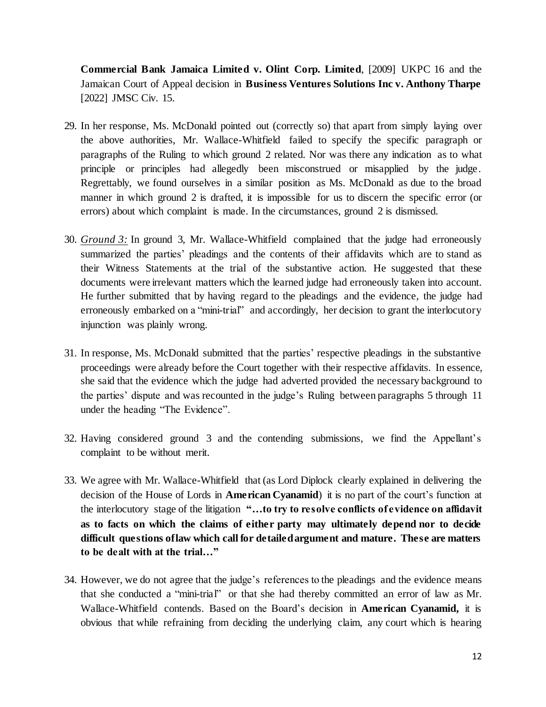**Commercial Bank Jamaica Limited v. Olint Corp. Limited**, [2009] UKPC 16 and the Jamaican Court of Appeal decision in **Business Ventures Solutions Inc v. Anthony Tharpe**  [2022] JMSC Civ. 15.

- 29. In her response, Ms. McDonald pointed out (correctly so) that apart from simply laying over the above authorities, Mr. Wallace-Whitfield failed to specify the specific paragraph or paragraphs of the Ruling to which ground 2 related. Nor was there any indication as to what principle or principles had allegedly been misconstrued or misapplied by the judge. Regrettably, we found ourselves in a similar position as Ms. McDonald as due to the broad manner in which ground 2 is drafted, it is impossible for us to discern the specific error (or errors) about which complaint is made. In the circumstances, ground 2 is dismissed.
- 30. *Ground 3:* In ground 3, Mr. Wallace-Whitfield complained that the judge had erroneously summarized the parties' pleadings and the contents of their affidavits which are to stand as their Witness Statements at the trial of the substantive action. He suggested that these documents were irrelevant matters which the learned judge had erroneously taken into account. He further submitted that by having regard to the pleadings and the evidence, the judge had erroneously embarked on a "mini-trial" and accordingly, her decision to grant the interlocutory injunction was plainly wrong.
- 31. In response, Ms. McDonald submitted that the parties' respective pleadings in the substantive proceedings were already before the Court together with their respective affidavits. In essence, she said that the evidence which the judge had adverted provided the necessary background to the parties' dispute and was recounted in the judge's Ruling between paragraphs 5 through 11 under the heading "The Evidence".
- 32. Having considered ground 3 and the contending submissions, we find the Appellant's complaint to be without merit.
- 33. We agree with Mr. Wallace-Whitfield that (as Lord Diplock clearly explained in delivering the decision of the House of Lords in **American Cyanamid**) it is no part of the court's function at the interlocutory stage of the litigation **"…to try to resolve conflicts of evidence on affidavit as to facts on which the claims of either party may ultimately depend nor to decide difficult questions of law which call for detailed argument and mature. These are matters to be dealt with at the trial…"**
- 34. However, we do not agree that the judge's references to the pleadings and the evidence means that she conducted a "mini-trial" or that she had thereby committed an error of law as Mr. Wallace-Whitfield contends. Based on the Board's decision in **American Cyanamid,** it is obvious that while refraining from deciding the underlying claim, any court which is hearing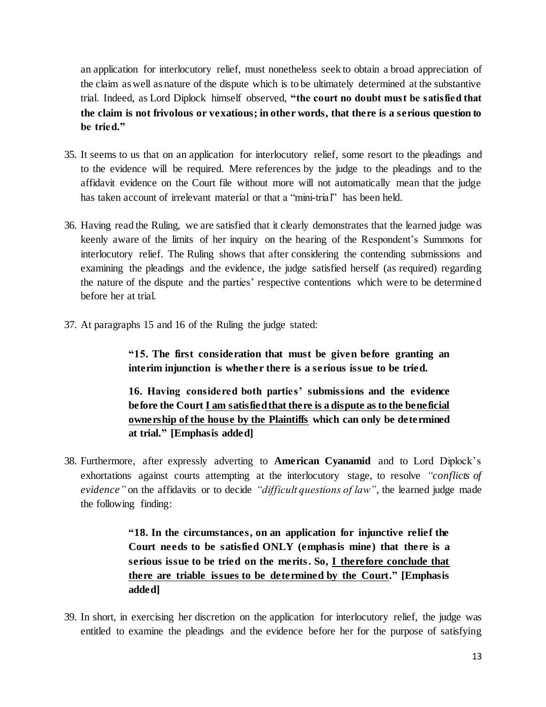an application for interlocutory relief, must nonetheless seek to obtain a broad appreciation of the claim as well as nature of the dispute which is to be ultimately determined at the substantive trial. Indeed, as Lord Diplock himself observed*,* **"the court no doubt must be satisfied that the claim is not frivolous or vexatious; in other words, that there is a serious question to be tried."**

- 35. It seems to us that on an application for interlocutory relief, some resort to the pleadings and to the evidence will be required. Mere references by the judge to the pleadings and to the affidavit evidence on the Court file without more will not automatically mean that the judge has taken account of irrelevant material or that a "mini-trial" has been held.
- 36. Having read the Ruling, we are satisfied that it clearly demonstrates that the learned judge was keenly aware of the limits of her inquiry on the hearing of the Respondent's Summons for interlocutory relief. The Ruling shows that after considering the contending submissions and examining the pleadings and the evidence, the judge satisfied herself (as required) regarding the nature of the dispute and the parties' respective contentions which were to be determined before her at trial.
- 37. At paragraphs 15 and 16 of the Ruling the judge stated:

**"15. The first consideration that must be given before granting an interim injunction is whether there is a serious issue to be tried.**

**16. Having considered both parties' submissions and the evidence before the Court I am satisfied that there is a dispute as to the beneficial ownership of the house by the Plaintiffs which can only be determined at trial." [Emphasis added]**

38. Furthermore, after expressly adverting to **American Cyanamid** and to Lord Diplock's exhortations against courts attempting at the interlocutory stage, to resolve *"conflicts of evidence"* on the affidavits or to decide *"difficult questions of law"*, the learned judge made the following finding:

> **"18. In the circumstances, on an application for injunctive relief the Court needs to be satisfied ONLY (emphasis mine) that there is a serious issue to be tried on the merits. So, I therefore conclude that there are triable issues to be determined by the Court." [Emphasis added]**

39. In short, in exercising her discretion on the application for interlocutory relief, the judge was entitled to examine the pleadings and the evidence before her for the purpose of satisfying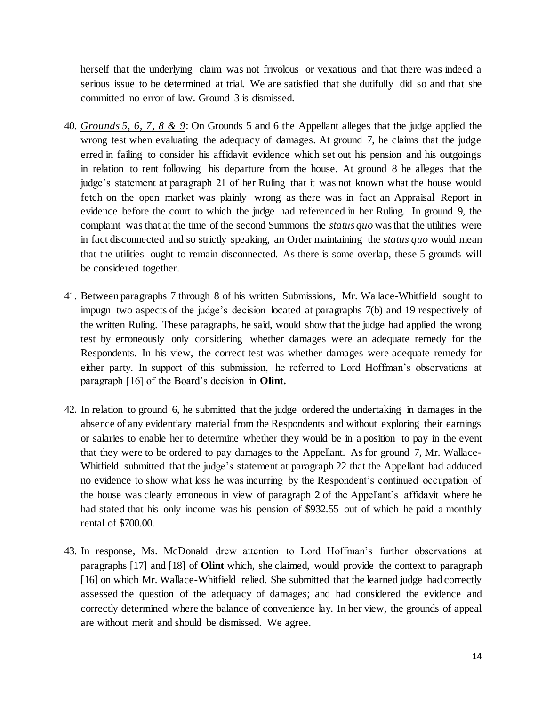herself that the underlying claim was not frivolous or vexatious and that there was indeed a serious issue to be determined at trial. We are satisfied that she dutifully did so and that she committed no error of law. Ground 3 is dismissed.

- 40. *Grounds 5, 6, 7, 8 & 9*: On Grounds 5 and 6 the Appellant alleges that the judge applied the wrong test when evaluating the adequacy of damages. At ground 7, he claims that the judge erred in failing to consider his affidavit evidence which set out his pension and his outgoings in relation to rent following his departure from the house. At ground 8 he alleges that the judge's statement at paragraph 21 of her Ruling that it was not known what the house would fetch on the open market was plainly wrong as there was in fact an Appraisal Report in evidence before the court to which the judge had referenced in her Ruling. In ground 9, the complaint was that at the time of the second Summons the *status quo* was that the utilities were in fact disconnected and so strictly speaking, an Order maintaining the *status quo* would mean that the utilities ought to remain disconnected. As there is some overlap, these 5 grounds will be considered together.
- 41. Between paragraphs 7 through 8 of his written Submissions, Mr. Wallace-Whitfield sought to impugn two aspects of the judge's decision located at paragraphs 7(b) and 19 respectively of the written Ruling. These paragraphs, he said, would show that the judge had applied the wrong test by erroneously only considering whether damages were an adequate remedy for the Respondents. In his view, the correct test was whether damages were adequate remedy for either party. In support of this submission, he referred to Lord Hoffman's observations at paragraph [16] of the Board's decision in **Olint.**
- 42. In relation to ground 6, he submitted that the judge ordered the undertaking in damages in the absence of any evidentiary material from the Respondents and without exploring their earnings or salaries to enable her to determine whether they would be in a position to pay in the event that they were to be ordered to pay damages to the Appellant. As for ground 7, Mr. Wallace-Whitfield submitted that the judge's statement at paragraph 22 that the Appellant had adduced no evidence to show what loss he was incurring by the Respondent's continued occupation of the house was clearly erroneous in view of paragraph 2 of the Appellant's affidavit where he had stated that his only income was his pension of \$932.55 out of which he paid a monthly rental of \$700.00.
- 43. In response, Ms. McDonald drew attention to Lord Hoffman's further observations at paragraphs [17] and [18] of **Olint** which, she claimed, would provide the context to paragraph [16] on which Mr. Wallace-Whitfield relied. She submitted that the learned judge had correctly assessed the question of the adequacy of damages; and had considered the evidence and correctly determined where the balance of convenience lay. In her view, the grounds of appeal are without merit and should be dismissed. We agree.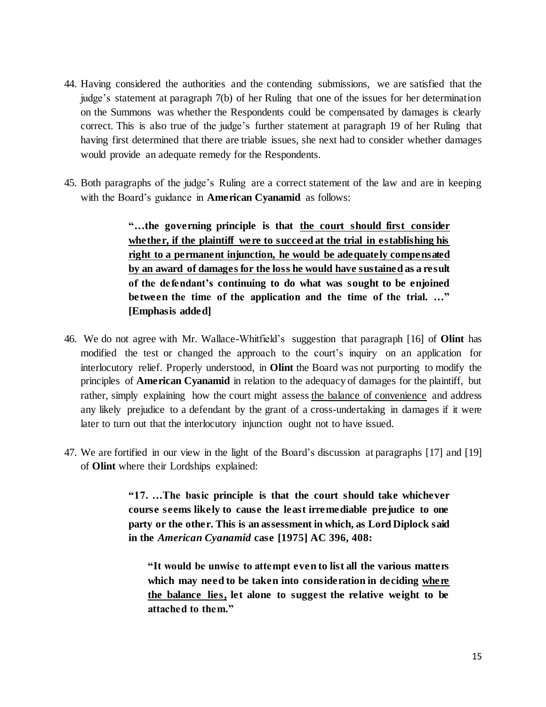- 44. Having considered the authorities and the contending submissions, we are satisfied that the judge's statement at paragraph 7(b) of her Ruling that one of the issues for her determination on the Summons was whether the Respondents could be compensated by damages is clearly correct. This is also true of the judge's further statement at paragraph 19 of her Ruling that having first determined that there are triable issues, she next had to consider whether damages would provide an adequate remedy for the Respondents.
- 45. Both paragraphs of the judge's Ruling are a correct statement of the law and are in keeping with the Board's guidance in **American Cyanamid** as follows:

**"…the governing principle is that the court should first consider whether, if the plaintiff were to succeed at the trial in establishing his right to a permanent injunction, he would be adequately compensated by an award of damages for the loss he would have sustained as a result of the defendant's continuing to do what was sought to be enjoined between the time of the application and the time of the trial. …" [Emphasis added]**

- 46. We do not agree with Mr. Wallace-Whitfield's suggestion that paragraph [16] of **Olint** has modified the test or changed the approach to the court's inquiry on an application for interlocutory relief. Properly understood, in **Olint** the Board was not purporting to modify the principles of **American Cyanamid** in relation to the adequacy of damages for the plaintiff, but rather, simply explaining how the court might assess the balance of convenience and address any likely prejudice to a defendant by the grant of a cross-undertaking in damages if it were later to turn out that the interlocutory injunction ought not to have issued.
- 47. We are fortified in our view in the light of the Board's discussion at paragraphs [17] and [19] of **Olint** where their Lordships explained:

**"17. …The basic principle is that the court should take whichever course seems likely to cause the least irremediable prejudice to one party or the other. This is an assessment in which, as Lord Diplock said in the** *American Cyanamid* **case [1975] AC 396, 408:**

**"It would be unwise to attempt even to list all the various matters which may need to be taken into consideration in deciding where the balance lies, let alone to suggest the relative weight to be attached to them."**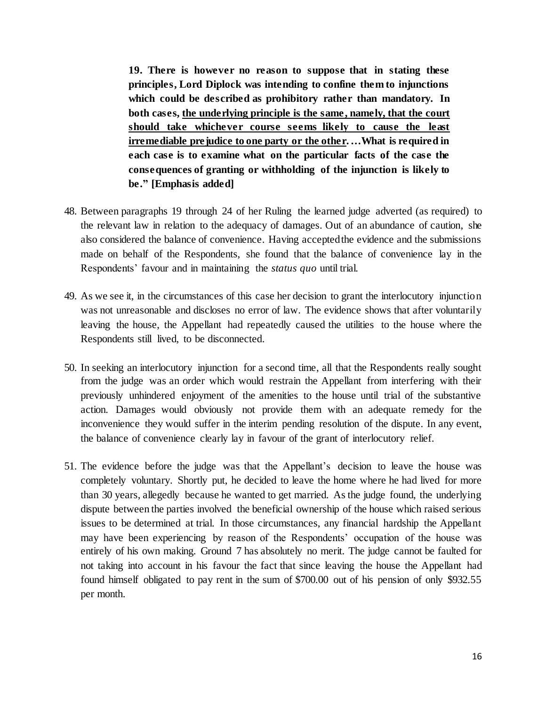**19. There is however no reason to suppose that in stating these principles, Lord Diplock was intending to confine them to injunctions which could be described as prohibitory rather than mandatory. In both cases, the underlying principle is the same , namely, that the court should take whichever course seems likely to cause the least irremediable prejudice to one party or the other. …What is required in each case is to examine what on the particular facts of the case the consequences of granting or withholding of the injunction is likely to be." [Emphasis added]**

- 48. Between paragraphs 19 through 24 of her Ruling the learned judge adverted (as required) to the relevant law in relation to the adequacy of damages. Out of an abundance of caution, she also considered the balance of convenience. Having accepted the evidence and the submissions made on behalf of the Respondents, she found that the balance of convenience lay in the Respondents' favour and in maintaining the *status quo* until trial.
- 49. As we see it, in the circumstances of this case her decision to grant the interlocutory injunction was not unreasonable and discloses no error of law. The evidence shows that after voluntarily leaving the house, the Appellant had repeatedly caused the utilities to the house where the Respondents still lived, to be disconnected.
- 50. In seeking an interlocutory injunction for a second time, all that the Respondents really sought from the judge was an order which would restrain the Appellant from interfering with their previously unhindered enjoyment of the amenities to the house until trial of the substantive action. Damages would obviously not provide them with an adequate remedy for the inconvenience they would suffer in the interim pending resolution of the dispute. In any event, the balance of convenience clearly lay in favour of the grant of interlocutory relief.
- 51. The evidence before the judge was that the Appellant's decision to leave the house was completely voluntary. Shortly put, he decided to leave the home where he had lived for more than 30 years, allegedly because he wanted to get married. As the judge found, the underlying dispute between the parties involved the beneficial ownership of the house which raised serious issues to be determined at trial. In those circumstances, any financial hardship the Appellant may have been experiencing by reason of the Respondents' occupation of the house was entirely of his own making. Ground 7 has absolutely no merit. The judge cannot be faulted for not taking into account in his favour the fact that since leaving the house the Appellant had found himself obligated to pay rent in the sum of \$700.00 out of his pension of only \$932.55 per month.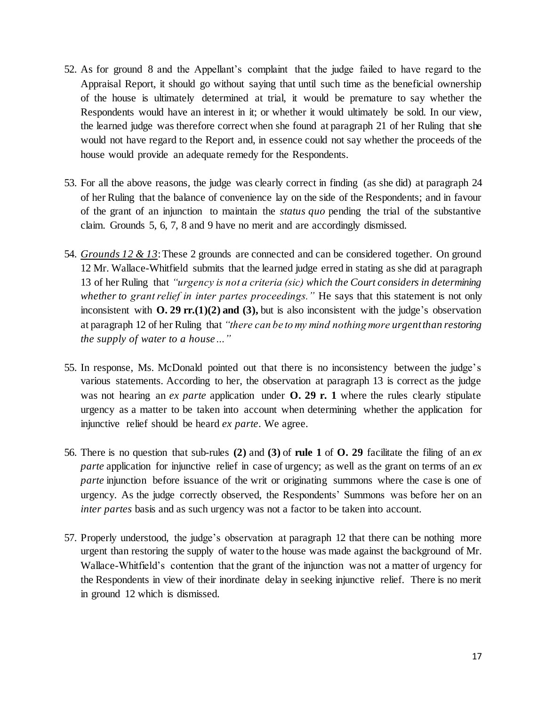- 52. As for ground 8 and the Appellant's complaint that the judge failed to have regard to the Appraisal Report, it should go without saying that until such time as the beneficial ownership of the house is ultimately determined at trial, it would be premature to say whether the Respondents would have an interest in it; or whether it would ultimately be sold. In our view, the learned judge was therefore correct when she found at paragraph 21 of her Ruling that she would not have regard to the Report and, in essence could not say whether the proceeds of the house would provide an adequate remedy for the Respondents.
- 53. For all the above reasons, the judge was clearly correct in finding (as she did) at paragraph 24 of her Ruling that the balance of convenience lay on the side of the Respondents; and in favour of the grant of an injunction to maintain the *status quo* pending the trial of the substantive claim. Grounds 5, 6, 7, 8 and 9 have no merit and are accordingly dismissed.
- 54. *Grounds 12 & 13*:These 2 grounds are connected and can be considered together. On ground 12 Mr. Wallace-Whitfield submits that the learned judge erred in stating as she did at paragraph 13 of her Ruling that *"urgency is not a criteria (sic) which the Court considers in determining whether to grant relief in inter partes proceedings."* He says that this statement is not only inconsistent with **O. 29 rr.(1)(2) and (3),** but is also inconsistent with the judge's observation at paragraph 12 of her Ruling that *"there can be to my mind nothing more urgent than restoring the supply of water to a house…"*
- 55. In response, Ms. McDonald pointed out that there is no inconsistency between the judge's various statements. According to her, the observation at paragraph 13 is correct as the judge was not hearing an *ex parte* application under **O. 29 r. 1** where the rules clearly stipulate urgency as a matter to be taken into account when determining whether the application for injunctive relief should be heard *ex parte*. We agree.
- 56. There is no question that sub-rules **(2)** and **(3)** of **rule 1** of **O. 29** facilitate the filing of an *ex parte* application for injunctive relief in case of urgency; as well as the grant on terms of an *ex parte* injunction before issuance of the writ or originating summons where the case is one of urgency. As the judge correctly observed, the Respondents' Summons was before her on an *inter partes* basis and as such urgency was not a factor to be taken into account.
- 57. Properly understood, the judge's observation at paragraph 12 that there can be nothing more urgent than restoring the supply of water to the house was made against the background of Mr. Wallace-Whitfield's contention that the grant of the injunction was not a matter of urgency for the Respondents in view of their inordinate delay in seeking injunctive relief. There is no merit in ground 12 which is dismissed.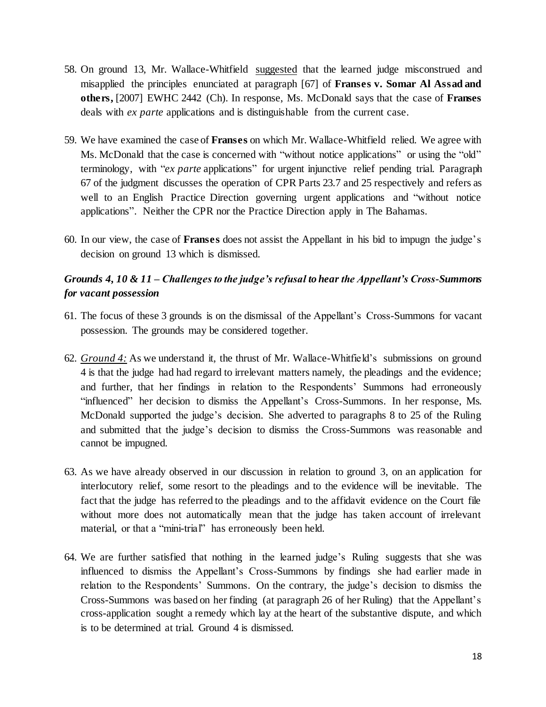- 58. On ground 13, Mr. Wallace-Whitfield suggested that the learned judge misconstrued and misapplied the principles enunciated at paragraph [67] of **Franses v. Somar Al Assad and others,** [2007] EWHC 2442 (Ch). In response, Ms. McDonald says that the case of **Franses** deals with *ex parte* applications and is distinguishable from the current case.
- 59. We have examined the case of **Franses** on which Mr. Wallace-Whitfield relied. We agree with Ms. McDonald that the case is concerned with "without notice applications" or using the "old" terminology, with "*ex parte* applications" for urgent injunctive relief pending trial. Paragraph 67 of the judgment discusses the operation of CPR Parts 23.7 and 25 respectively and refers as well to an English Practice Direction governing urgent applications and "without notice applications". Neither the CPR nor the Practice Direction apply in The Bahamas.
- 60. In our view, the case of **Franses** does not assist the Appellant in his bid to impugn the judge's decision on ground 13 which is dismissed.

# *Grounds 4, 10 & 11 – Challenges to the judge's refusal to hear the Appellant's Cross-Summons for vacant possession*

- 61. The focus of these 3 grounds is on the dismissal of the Appellant's Cross-Summons for vacant possession. The grounds may be considered together.
- 62. *Ground 4:* As we understand it, the thrust of Mr. Wallace-Whitfield's submissions on ground 4 is that the judge had had regard to irrelevant matters namely, the pleadings and the evidence; and further, that her findings in relation to the Respondents' Summons had erroneously "influenced" her decision to dismiss the Appellant's Cross-Summons. In her response, Ms. McDonald supported the judge's decision. She adverted to paragraphs 8 to 25 of the Ruling and submitted that the judge's decision to dismiss the Cross-Summons was reasonable and cannot be impugned.
- 63. As we have already observed in our discussion in relation to ground 3, on an application for interlocutory relief, some resort to the pleadings and to the evidence will be inevitable. The fact that the judge has referred to the pleadings and to the affidavit evidence on the Court file without more does not automatically mean that the judge has taken account of irrelevant material, or that a "mini-trial" has erroneously been held.
- 64. We are further satisfied that nothing in the learned judge's Ruling suggests that she was influenced to dismiss the Appellant's Cross-Summons by findings she had earlier made in relation to the Respondents' Summons. On the contrary, the judge's decision to dismiss the Cross-Summons was based on her finding (at paragraph 26 of her Ruling) that the Appellant's cross-application sought a remedy which lay at the heart of the substantive dispute, and which is to be determined at trial. Ground 4 is dismissed.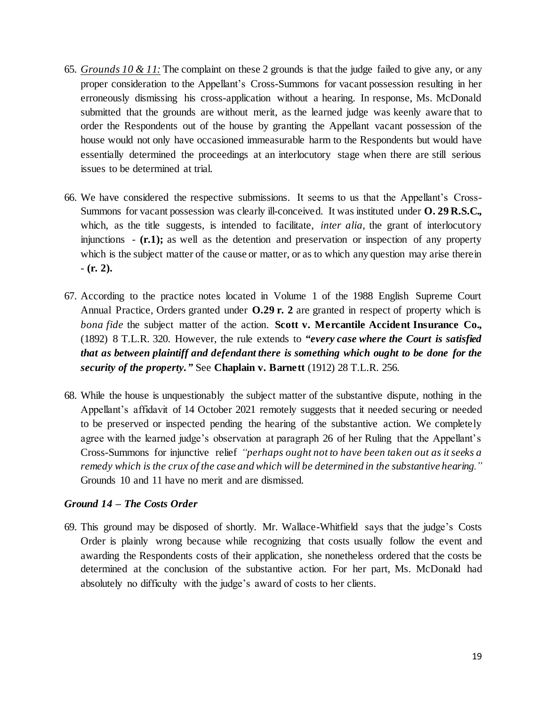- 65. *Grounds 10 & 11:* The complaint on these 2 grounds is that the judge failed to give any, or any proper consideration to the Appellant's Cross-Summons for vacant possession resulting in her erroneously dismissing his cross-application without a hearing. In response, Ms. McDonald submitted that the grounds are without merit, as the learned judge was keenly aware that to order the Respondents out of the house by granting the Appellant vacant possession of the house would not only have occasioned immeasurable harm to the Respondents but would have essentially determined the proceedings at an interlocutory stage when there are still serious issues to be determined at trial.
- 66. We have considered the respective submissions. It seems to us that the Appellant's Cross-Summons for vacant possession was clearly ill-conceived. It was instituted under **O. 29 R.S.C.,** which, as the title suggests, is intended to facilitate, *inter alia,* the grant of interlocutory injunctions - **(r.1);** as well as the detention and preservation or inspection of any property which is the subject matter of the cause or matter, or as to which any question may arise therein - **(r. 2).**
- 67. According to the practice notes located in Volume 1 of the 1988 English Supreme Court Annual Practice, Orders granted under **O.29 r. 2** are granted in respect of property which is *bona fide* the subject matter of the action. **Scott v. Mercantile Accident Insurance Co.,** (1892) 8 T.L.R. 320. However, the rule extends to *"every case where the Court is satisfied that as between plaintiff and defendant there is something which ought to be done for the security of the property."* See **Chaplain v. Barnett** (1912) 28 T.L.R. 256.
- 68. While the house is unquestionably the subject matter of the substantive dispute, nothing in the Appellant's affidavit of 14 October 2021 remotely suggests that it needed securing or needed to be preserved or inspected pending the hearing of the substantive action. We completely agree with the learned judge's observation at paragraph 26 of her Ruling that the Appellant's Cross-Summons for injunctive relief *"perhaps ought not to have been taken out as it seeks a remedy which is the crux of the case and which will be determined in the substantive hearing."* Grounds 10 and 11 have no merit and are dismissed.

#### *Ground 14 – The Costs Order*

69. This ground may be disposed of shortly. Mr. Wallace-Whitfield says that the judge's Costs Order is plainly wrong because while recognizing that costs usually follow the event and awarding the Respondents costs of their application, she nonetheless ordered that the costs be determined at the conclusion of the substantive action. For her part, Ms. McDonald had absolutely no difficulty with the judge's award of costs to her clients.